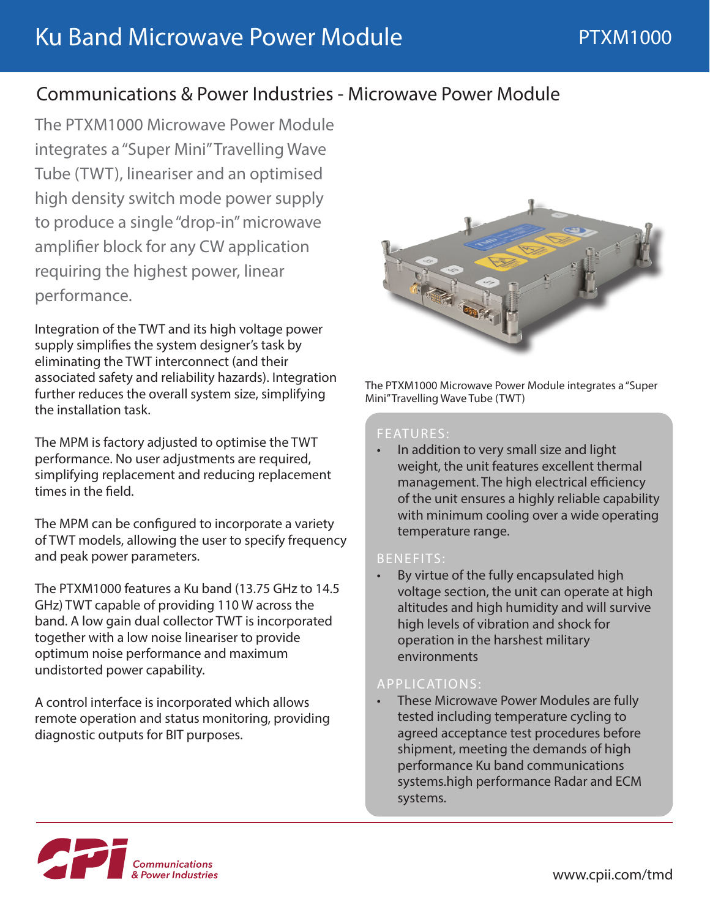# Communications & Power Industries - Microwave Power Module

The PTXM1000 Microwave Power Module integrates a "Super Mini" Travelling Wave Tube (TWT), lineariser and an optimised high density switch mode power supply to produce a single "drop-in" microwave amplifier block for any CW application requiring the highest power, linear performance.

Integration of the TWT and its high voltage power supply simplifies the system designer's task by eliminating the TWT interconnect (and their associated safety and reliability hazards). Integration further reduces the overall system size, simplifying the installation task.

The MPM is factory adjusted to optimise the TWT performance. No user adjustments are required, simplifying replacement and reducing replacement times in the field.

The MPM can be configured to incorporate a variety of TWT models, allowing the user to specify frequency and peak power parameters.

The PTXM1000 features a Ku band (13.75 GHz to 14.5 GHz) TWT capable of providing 110 W across the band. A low gain dual collector TWT is incorporated together with a low noise lineariser to provide optimum noise performance and maximum undistorted power capability.

A control interface is incorporated which allows remote operation and status monitoring, providing diagnostic outputs for BIT purposes.



The PTXM1000 Microwave Power Module integrates a "Super Mini" Travelling Wave Tube (TWT)

### FEATURES:

• In addition to very small size and light weight, the unit features excellent thermal management. The high electrical efficiency of the unit ensures a highly reliable capability with minimum cooling over a wide operating temperature range.

#### BENEFITS:

By virtue of the fully encapsulated high voltage section, the unit can operate at high altitudes and high humidity and will survive high levels of vibration and shock for operation in the harshest military environments

### APPLICATIONS:

• These Microwave Power Modules are fully tested including temperature cycling to agreed acceptance test procedures before shipment, meeting the demands of high performance Ku band communications systems.high performance Radar and ECM systems.

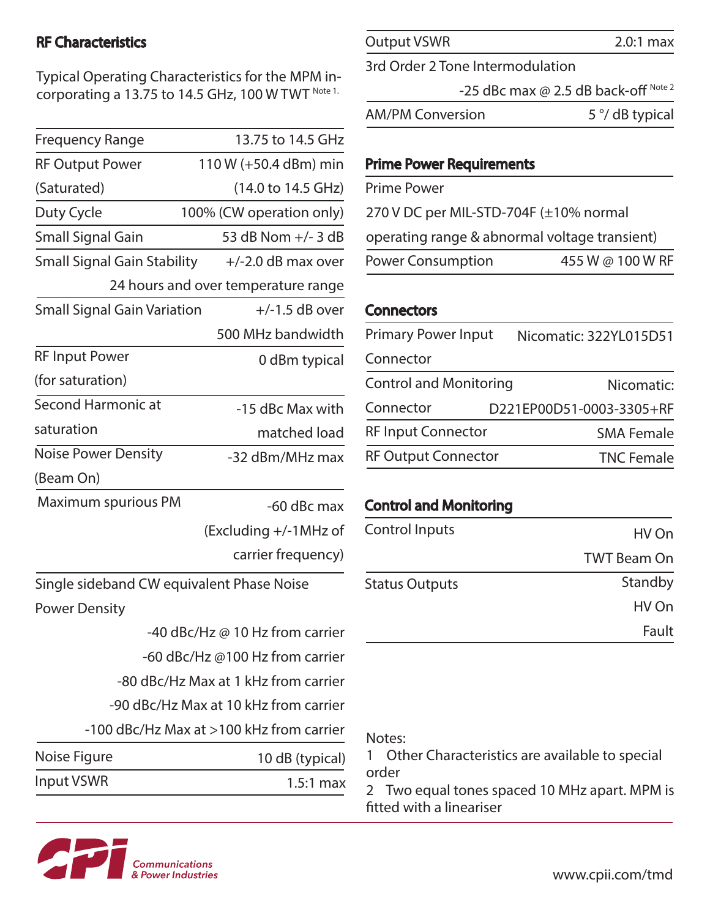# RF Characteristics

Typical Operating Characteristics for the MPM incorporating a 13.75 to 14.5 GHz, 100 W TWT Note 1.

| <b>Frequency Range</b>                    | 13.75 to 14.5 GHz               |  |
|-------------------------------------------|---------------------------------|--|
| <b>RF Output Power</b>                    | 110 W (+50.4 dBm) min           |  |
| (Saturated)                               | (14.0 to 14.5 GHz)              |  |
| Duty Cycle                                | 100% (CW operation only)        |  |
| <b>Small Signal Gain</b>                  | 53 dB Nom +/- 3 dB              |  |
| <b>Small Signal Gain Stability</b>        | $+/-2.0$ dB max over            |  |
| 24 hours and over temperature range       |                                 |  |
| <b>Small Signal Gain Variation</b>        | $+/-1.5$ dB over                |  |
|                                           | 500 MHz bandwidth               |  |
| <b>RF Input Power</b>                     | 0 dBm typical                   |  |
| (for saturation)                          |                                 |  |
| Second Harmonic at                        | -15 dBc Max with                |  |
| saturation                                | matched load                    |  |
| <b>Noise Power Density</b>                | -32 dBm/MHz max                 |  |
| (Beam On)                                 |                                 |  |
| Maximum spurious PM                       | -60 dBc max                     |  |
|                                           | (Excluding +/-1MHz of           |  |
|                                           | carrier frequency)              |  |
| Single sideband CW equivalent Phase Noise |                                 |  |
| <b>Power Density</b>                      |                                 |  |
|                                           | -40 dBc/Hz @ 10 Hz from carrier |  |
|                                           | -60 dBc/Hz @100 Hz from carrier |  |

-80 dBc/Hz Max at 1 kHz from carrier

-90 dBc/Hz Max at 10 kHz from carrier

-100 dBc/Hz Max at >100 kHz from carrier

| Noise Figure | 10 dB (typical) |
|--------------|-----------------|
| Input VSWR   | $1.5:1$ max     |

Output VSWR

3rd Order 2 Tone Intermodulation

-25 dBc max  $@$  2.5 dB back-off Note 2

AM/PM Conversion 5 °/ dB typical

### Prime Power Requirements

Prime Power

270 V DC per MIL-STD-704F (±10% normal

operating range & abnormal voltage transient)

Power Consumption 455 W @ 100 W RF

# **Connectors**

| <b>Primary Power Input</b>    | Nicomatic: 322YL015D51   |
|-------------------------------|--------------------------|
| Connector                     |                          |
| <b>Control and Monitoring</b> | Nicomatic:               |
| Connector                     | D221EP00D51-0003-3305+RF |
| <b>RF Input Connector</b>     | <b>SMA Female</b>        |
| <b>RF Output Connector</b>    | <b>TNC Female</b>        |

# Control and Monitoring

| <b>Control Inputs</b> | HV On              |
|-----------------------|--------------------|
|                       | <b>TWT Beam On</b> |
| <b>Status Outputs</b> | Standby            |
|                       | HV On              |
|                       | Fault              |

### Notes:

1 Other Characteristics are available to special order

2 Two equal tones spaced 10 MHz apart. MPM is fitted with a lineariser



2.0:1 max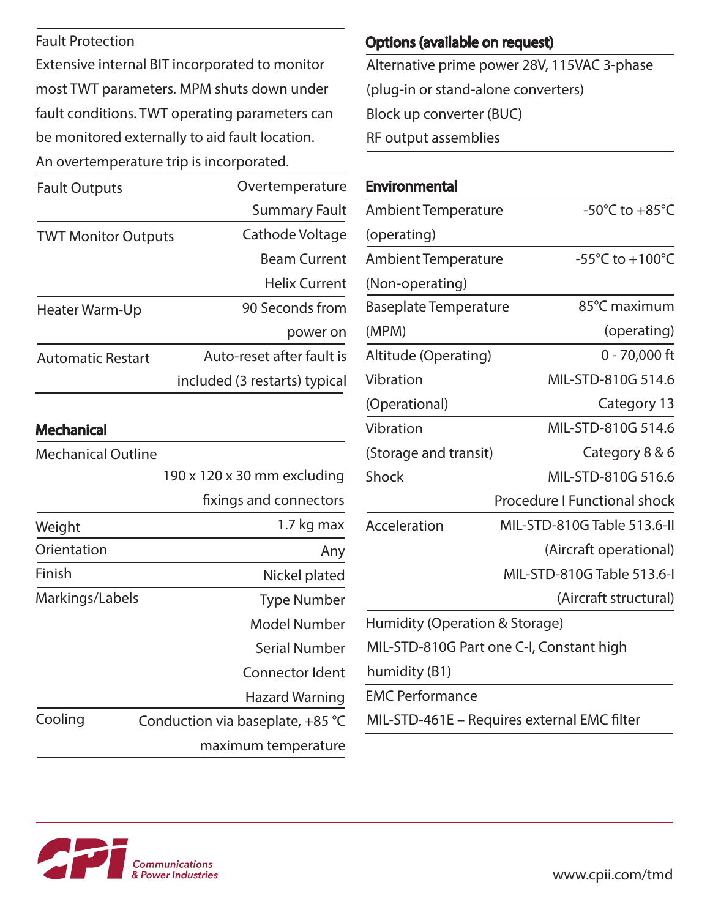## Fault Protection

Extensive internal BIT incorporated to monitor most TWT parameters. MPM shuts down under fault conditions. TWT operating parameters can be monitored externally to aid fault location. An overtemperature trip is incorporated.

| <b>Fault Outputs</b>       | Overtemperature               |
|----------------------------|-------------------------------|
|                            | <b>Summary Fault</b>          |
| <b>TWT Monitor Outputs</b> | Cathode Voltage               |
|                            | <b>Beam Current</b>           |
|                            | <b>Helix Current</b>          |
| Heater Warm-Up             | 90 Seconds from               |
|                            | power on                      |
| <b>Automatic Restart</b>   | Auto-reset after fault is     |
|                            | included (3 restarts) typical |

## **Mechanical**

| <b>Mechanical Outline</b> |                                  |
|---------------------------|----------------------------------|
|                           | 190 x 120 x 30 mm excluding      |
|                           | fixings and connectors           |
| Weight                    | 1.7 kg max                       |
| Orientation               | Any                              |
| Finish                    | Nickel plated                    |
| Markings/Labels           | <b>Type Number</b>               |
|                           | Model Number                     |
|                           | Serial Number                    |
|                           | Connector Ident                  |
|                           | Hazard Warning                   |
| Cooling                   | Conduction via baseplate, +85 °C |
|                           | maximum temperature              |

# Options (available on request)

Alternative prime power 28V, 115VAC 3-phase (plug-in or stand-alone converters) Block up converter (BUC) RF output assemblies

## **Environmental**

| <b>Ambient Temperature</b>     | -50 $^{\circ}$ C to +85 $^{\circ}$ C        |
|--------------------------------|---------------------------------------------|
| (operating)                    |                                             |
| <b>Ambient Temperature</b>     | -55°C to +100°C                             |
| (Non-operating)                |                                             |
| <b>Baseplate Temperature</b>   | 85°C maximum                                |
| (MPM)                          | (operating)                                 |
| Altitude (Operating)           | $0 - 70,000$ ft                             |
| Vibration                      | MIL-STD-810G 514.6                          |
| (Operational)                  | Category 13                                 |
| Vibration                      | MIL-STD-810G 514.6                          |
| (Storage and transit)          | Category 8 & 6                              |
| Shock                          | MIL-STD-810G 516.6                          |
|                                | <b>Procedure I Functional shock</b>         |
| Acceleration                   | MIL-STD-810G Table 513.6-II                 |
|                                | (Aircraft operational)                      |
|                                | MIL-STD-810G Table 513.6-I                  |
|                                | (Aircraft structural)                       |
| Humidity (Operation & Storage) |                                             |
|                                | MIL-STD-810G Part one C-I, Constant high    |
| humidity (B1)                  |                                             |
| <b>EMC Performance</b>         |                                             |
|                                | MIL-STD-461E - Requires external EMC filter |